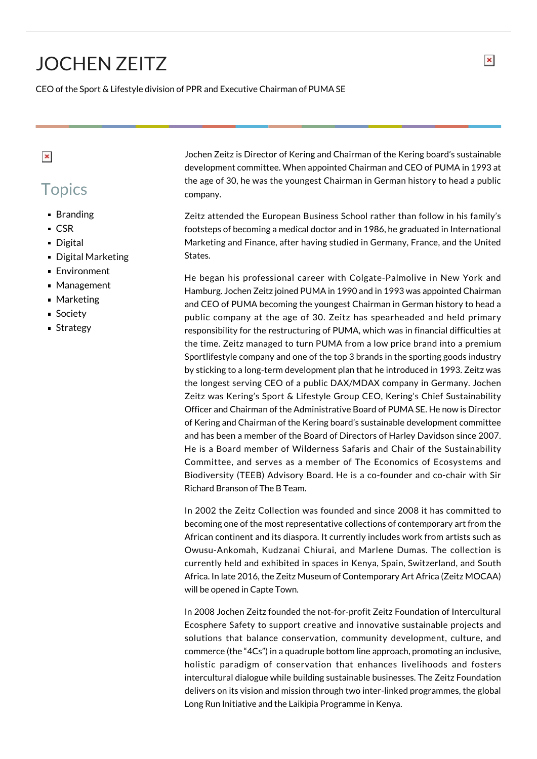## JOCHEN ZEITZ

CEO of the Sport & Lifestyle division of PPR and Executive Chairman of PUMA SE

## $\pmb{\times}$

## **Topics**

- **Branding**
- CSR
- **Digital**
- **Digital Marketing**
- **Environment**
- Management
- Marketing
- **Society**
- Strategy

Jochen Zeitz is Director of Kering and Chairman of the Kering board's sustainable development committee. When appointed Chairman and CEO of PUMA in 1993 at the age of 30, he was the youngest Chairman in German history to head a public company.

Zeitz attended the European Business School rather than follow in his family's footsteps of becoming a medical doctor and in 1986, he graduated in International Marketing and Finance, after having studied in Germany, France, and the United States.

He began his professional career with Colgate-Palmolive in New York and Hamburg. Jochen Zeitz joined PUMA in 1990 and in 1993 was appointed Chairman and CEO of PUMA becoming the youngest Chairman in German history to head a public company at the age of 30. Zeitz has spearheaded and held primary responsibility for the restructuring of PUMA, which was in financial difficulties at the time. Zeitz managed to turn PUMA from a low price brand into a premium Sportlifestyle company and one of the top 3 brands in the sporting goods industry by sticking to a long-term development plan that he introduced in 1993. Zeitz was the longest serving CEO of a public DAX/MDAX company in Germany. Jochen Zeitz was Kering's Sport & Lifestyle Group CEO, Kering's Chief Sustainability Officer and Chairman of the Administrative Board of PUMA SE. He now is Director of Kering and Chairman of the Kering board's sustainable development committee and has been a member of the Board of Directors of Harley Davidson since 2007. He is a Board member of Wilderness Safaris and Chair of the Sustainability Committee, and serves as a member of The Economics of Ecosystems and Biodiversity (TEEB) Advisory Board. He is a co-founder and co-chair with Sir Richard Branson of The B Team.

In 2002 the Zeitz Collection was founded and since 2008 it has committed to becoming one of the most representative collections of contemporary art from the African continent and its diaspora. It currently includes work from artists such as Owusu-Ankomah, Kudzanai Chiurai, and Marlene Dumas. The collection is currently held and exhibited in spaces in Kenya, Spain, Switzerland, and South Africa. In late 2016, the Zeitz Museum of Contemporary Art Africa (Zeitz MOCAA) will be opened in Capte Town.

In 2008 Jochen Zeitz founded the not-for-profit Zeitz Foundation of Intercultural Ecosphere Safety to support creative and innovative sustainable projects and solutions that balance conservation, community development, culture, and commerce (the "4Cs") in a quadruple bottom line approach, promoting an inclusive, holistic paradigm of conservation that enhances livelihoods and fosters intercultural dialogue while building sustainable businesses. The Zeitz Foundation delivers on its vision and mission through two inter-linked programmes, the global Long Run Initiative and the Laikipia Programme in Kenya.

 $\pmb{\times}$